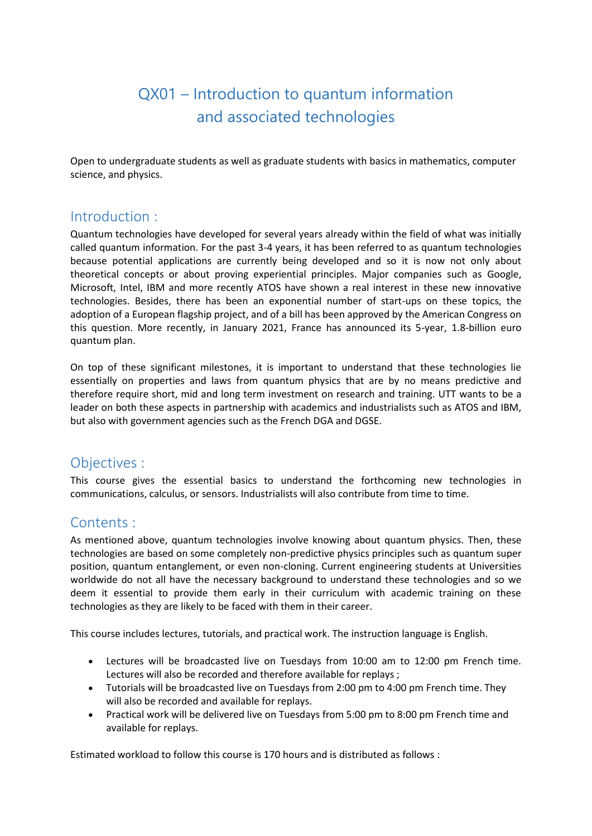# QX01 – Introduction to quantum information and associated technologies

Open to undergraduate students as well as graduate students with basics in mathematics, computer science, and physics.

## Introduction :

Quantum technologies have developed for several years already within the field of what was initially called quantum information. For the past 3-4 years, it has been referred to as quantum technologies because potential applications are currently being developed and so it is now not only about theoretical concepts or about proving experiential principles. Major companies such as Google, Microsoft, Intel, IBM and more recently ATOS have shown a real interest in these new innovative technologies. Besides, there has been an exponential number of start-ups on these topics, the adoption of a European flagship project, and of a bill has been approved by the American Congress on this question. More recently, in January 2021, France has announced its 5-year, 1.8-billion euro quantum plan.

On top of these significant milestones, it is important to understand that these technologies lie essentially on properties and laws from quantum physics that are by no means predictive and therefore require short, mid and long term investment on research and training. UTT wants to be a leader on both these aspects in partnership with academics and industrialists such as ATOS and IBM, but also with government agencies such as the French DGA and DGSE.

### Objectives :

This course gives the essential basics to understand the forthcoming new technologies in communications, calculus, or sensors. Industrialists will also contribute from time to time.

## Contents :

As mentioned above, quantum technologies involve knowing about quantum physics. Then, these technologies are based on some completely non-predictive physics principles such as quantum super position, quantum entanglement, or even non-cloning. Current engineering students at Universities worldwide do not all have the necessary background to understand these technologies and so we deem it essential to provide them early in their curriculum with academic training on these technologies as they are likely to be faced with them in their career.

This course includes lectures, tutorials, and practical work. The instruction language is English.

- Lectures will be broadcasted live on Tuesdays from 10:00 am to 12:00 pm French time. Lectures will also be recorded and therefore available for replays ;
- Tutorials will be broadcasted live on Tuesdays from 2:00 pm to 4:00 pm French time. They will also be recorded and available for replays.
- Practical work will be delivered live on Tuesdays from 5:00 pm to 8:00 pm French time and available for replays.

Estimated workload to follow this course is 170 hours and is distributed as follows :